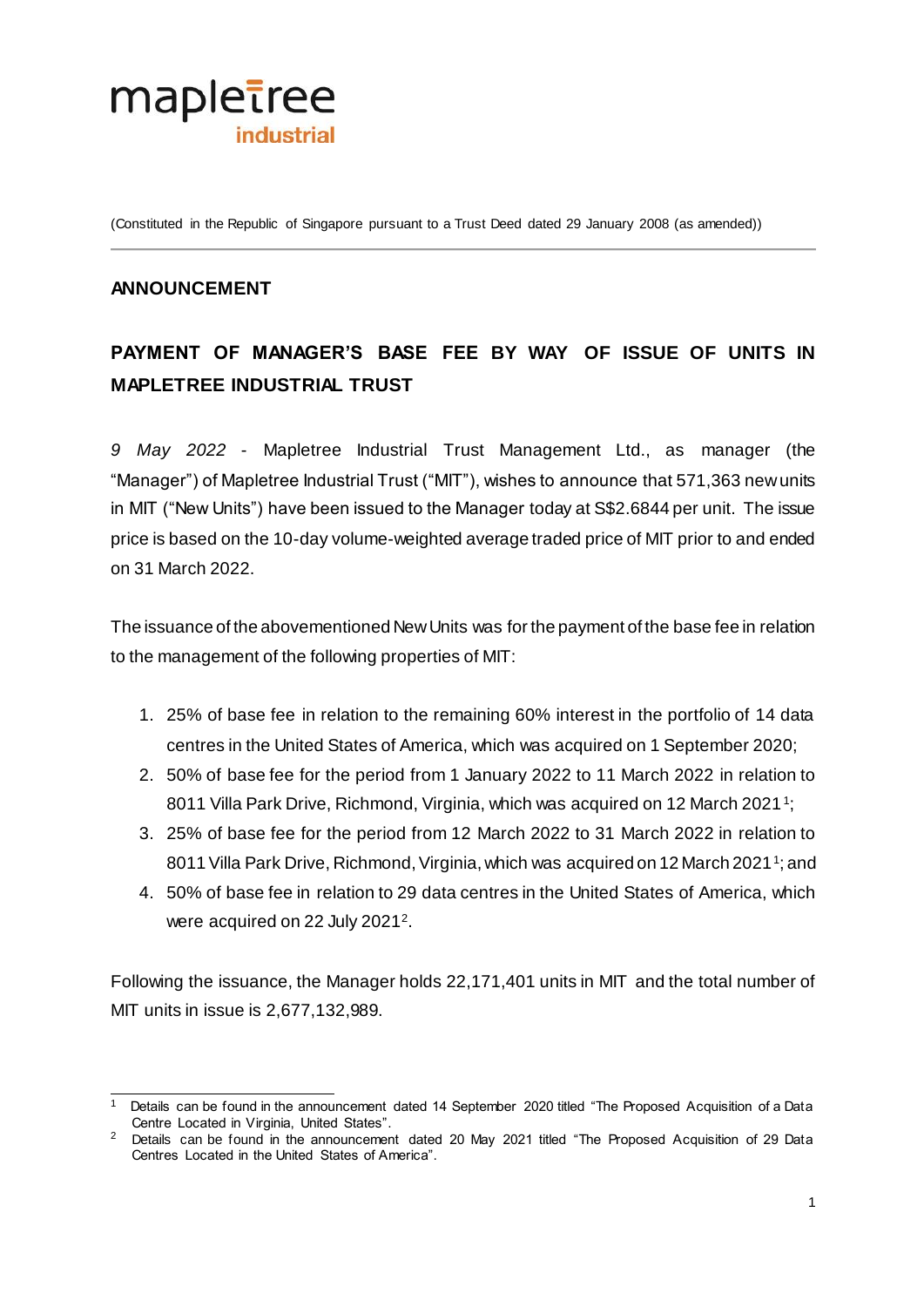

(Constituted in the Republic of Singapore pursuant to a Trust Deed dated 29 January 2008 (as amended))

## **ANNOUNCEMENT**

## **PAYMENT OF MANAGER'S BASE FEE BY WAY OF ISSUE OF UNITS IN MAPLETREE INDUSTRIAL TRUST**

*9 May 2022* - Mapletree Industrial Trust Management Ltd., as manager (the "Manager") of Mapletree Industrial Trust ("MIT"), wishes to announce that 571,363 new units in MIT ("New Units") have been issued to the Manager today at S\$2.6844 per unit. The issue price is based on the 10-day volume-weighted average traded price of MIT prior to and ended on 31 March 2022.

The issuance of the abovementioned New Units was for the payment of the base fee in relation to the management of the following properties of MIT:

- 1. 25% of base fee in relation to the remaining 60% interest in the portfolio of 14 data centres in the United States of America, which was acquired on 1 September 2020;
- 2. 50% of base fee for the period from 1 January 2022 to 11 March 2022 in relation to 8011 Villa Park Drive, Richmond, Virginia, which was acquired on 12 March 2021<sup>1</sup>;
- <span id="page-0-0"></span>3. 25% of base fee for the period from 12 March 2022 to 31 March 2022 in relation to 80[1](#page-0-0)1 Villa Park Drive, Richmond, Virginia, which was acquired on 12 March 2021<sup>1</sup>; and
- 4. 50% of base fee in relation to 29 data centres in the United States of America, which were acquired on 22 July 2021<sup>2</sup>.

Following the issuance, the Manager holds 22,171,401 units in MIT and the total number of MIT units in issue is 2,677,132,989.

<sup>.</sup> 1 Details can be found in the announcement dated 14 September 2020 titled "The Proposed Acquisition of a Data Centre Located in Virginia, United States".

<sup>&</sup>lt;sup>2</sup> Details can be found in the announcement dated 20 May 2021 titled "The Proposed Acquisition of 29 Data Centres Located in the United States of America".